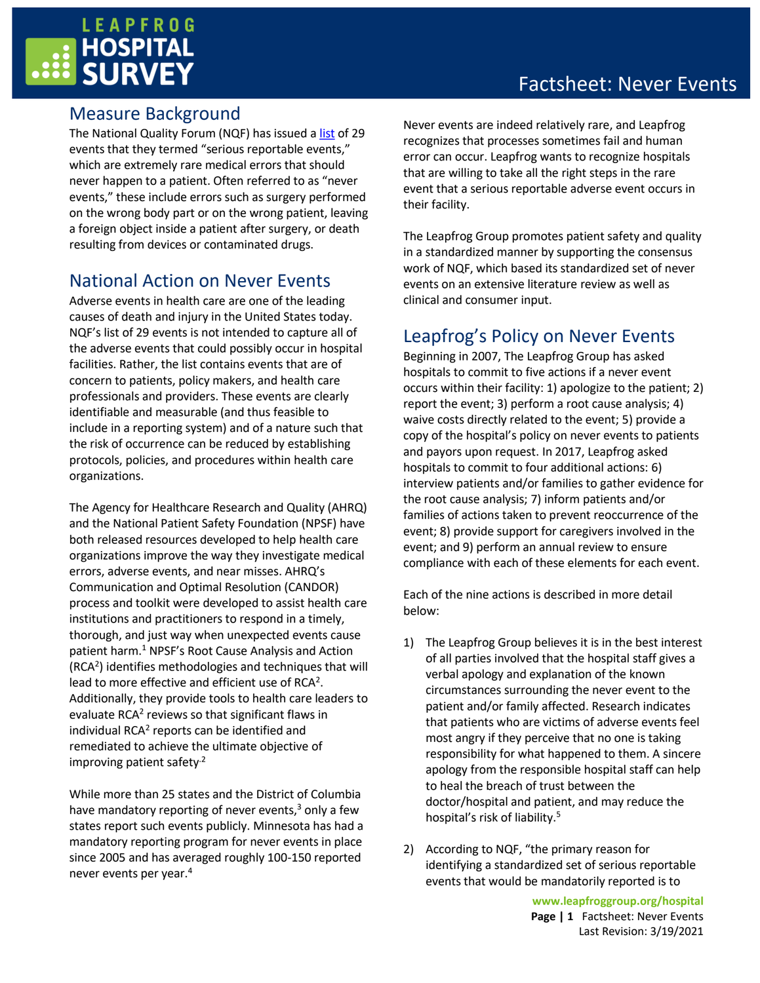## **LEAPFROG SURVEY**

### Measure Background

The National Quality Forum (NQF) has issued a [list](http://www.qualityforum.org/topics/sres/serious_reportable_events.aspx) of 29 events that they termed "serious reportable events," which are extremely rare medical errors that should never happen to a patient. Often referred to as "never events," these include errors such as surgery performed on the wrong body part or on the wrong patient, leaving a foreign object inside a patient after surgery, or death resulting from devices or contaminated drugs.

### National Action on Never Events

Adverse events in health care are one of the leading causes of death and injury in the United States today. NQF's list of 29 events is not intended to capture all of the adverse events that could possibly occur in hospital facilities. Rather, the list contains events that are of concern to patients, policy makers, and health care professionals and providers. These events are clearly identifiable and measurable (and thus feasible to include in a reporting system) and of a nature such that the risk of occurrence can be reduced by establishing protocols, policies, and procedures within health care organizations.

The Agency for Healthcare Research and Quality (AHRQ) and the National Patient Safety Foundation (NPSF) have both released resources developed to help health care organizations improve the way they investigate medical errors, adverse events, and near misses. AHRQ's Communication and Optimal Resolution (CANDOR) process and toolkit were developed to assist health care institutions and practitioners to respond in a timely, thorough, and just way when unexpected events cause patient harm.<sup>1</sup> NPSF's Root Cause Analysis and Action (RCA<sup>2</sup> ) identifies methodologies and techniques that will lead to more effective and efficient use of RCA<sup>2</sup>. Additionally, they provide tools to health care leaders to evaluate RCA<sup>2</sup> reviews so that significant flaws in individual RCA<sup>2</sup> reports can be identified and remediated to achieve the ultimate objective of improving patient safety $<sup>2</sup>$ </sup>

While more than 25 states and the District of Columbia have mandatory reporting of never events, <sup>3</sup> only a few states report such events publicly. Minnesota has had a mandatory reporting program for never events in place since 2005 and has averaged roughly 100-150 reported never events per year.<sup>4</sup>

## Factsheet: Never Events

Never events are indeed relatively rare, and Leapfrog recognizes that processes sometimes fail and human error can occur. Leapfrog wants to recognize hospitals that are willing to take all the right steps in the rare event that a serious reportable adverse event occurs in their facility.

The Leapfrog Group promotes patient safety and quality in a standardized manner by supporting the consensus work of NQF, which based its standardized set of never events on an extensive literature review as well as clinical and consumer input.

### Leapfrog's Policy on Never Events

Beginning in 2007, The Leapfrog Group has asked hospitals to commit to five actions if a never event occurs within their facility: 1) apologize to the patient; 2) report the event; 3) perform a root cause analysis; 4) waive costs directly related to the event; 5) provide a copy of the hospital's policy on never events to patients and payors upon request. In 2017, Leapfrog asked hospitals to commit to four additional actions: 6) interview patients and/or families to gather evidence for the root cause analysis; 7) inform patients and/or families of actions taken to prevent reoccurrence of the event; 8) provide support for caregivers involved in the event; and 9) perform an annual review to ensure compliance with each of these elements for each event.

Each of the nine actions is described in more detail below:

- 1) The Leapfrog Group believes it is in the best interest of all parties involved that the hospital staff gives a verbal apology and explanation of the known circumstances surrounding the never event to the patient and/or family affected. Research indicates that patients who are victims of adverse events feel most angry if they perceive that no one is taking responsibility for what happened to them. A sincere apology from the responsible hospital staff can help to heal the breach of trust between the doctor/hospital and patient, and may reduce the hospital's risk of liability.<sup>5</sup>
- 2) According to NQF, "the primary reason for identifying a standardized set of serious reportable events that would be mandatorily reported is to

**www.leapfroggroup.org/hospital Page | 1** Factsheet: Never Events Last Revision: 3/19/2021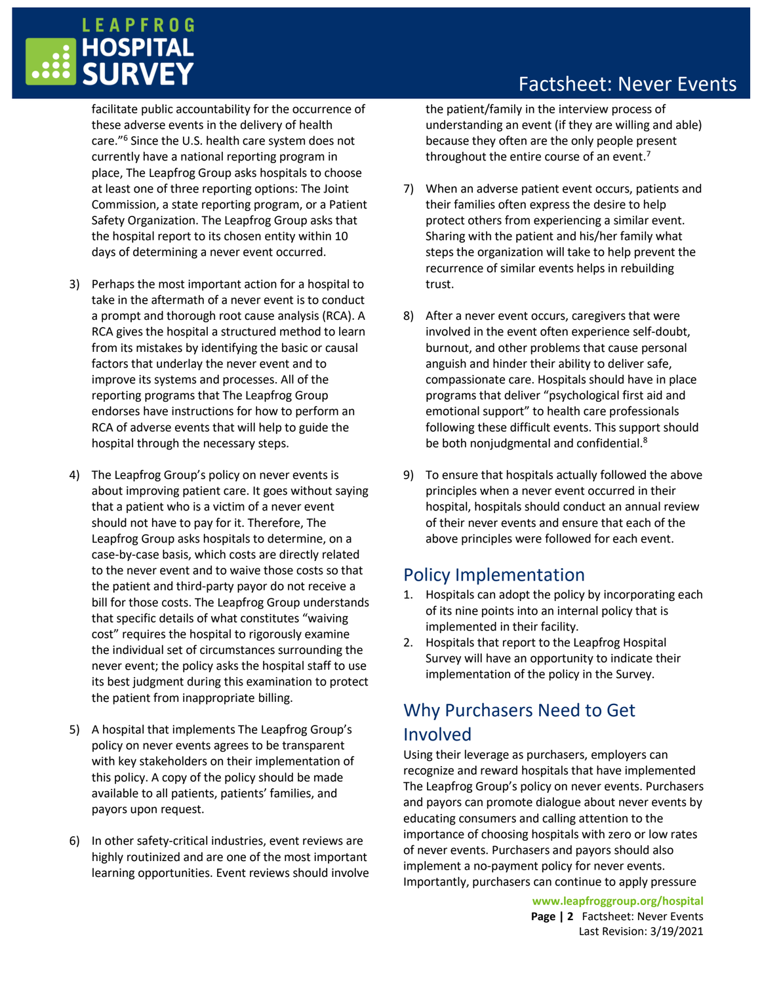# **LEAPFROG** HOSPITAL<br>SURVEY

facilitate public accountability for the occurrence of these adverse events in the delivery of health care."<sup>6</sup> Since the U.S. health care system does not currently have a national reporting program in place, The Leapfrog Group asks hospitals to choose at least one of three reporting options: The Joint Commission, a state reporting program, or a Patient Safety Organization. The Leapfrog Group asks that the hospital report to its chosen entity within 10 days of determining a never event occurred.

- 3) Perhaps the most important action for a hospital to take in the aftermath of a never event is to conduct a prompt and thorough root cause analysis (RCA). A RCA gives the hospital a structured method to learn from its mistakes by identifying the basic or causal factors that underlay the never event and to improve its systems and processes. All of the reporting programs that The Leapfrog Group endorses have instructions for how to perform an RCA of adverse events that will help to guide the hospital through the necessary steps.
- 4) The Leapfrog Group's policy on never events is about improving patient care. It goes without saying that a patient who is a victim of a never event should not have to pay for it. Therefore, The Leapfrog Group asks hospitals to determine, on a case-by-case basis, which costs are directly related to the never event and to waive those costs so that the patient and third-party payor do not receive a bill for those costs. The Leapfrog Group understands that specific details of what constitutes "waiving cost" requires the hospital to rigorously examine the individual set of circumstances surrounding the never event; the policy asks the hospital staff to use its best judgment during this examination to protect the patient from inappropriate billing.
- 5) A hospital that implements The Leapfrog Group's policy on never events agrees to be transparent with key stakeholders on their implementation of this policy. A copy of the policy should be made available to all patients, patients' families, and payors upon request.
- 6) In other safety-critical industries, event reviews are highly routinized and are one of the most important learning opportunities. Event reviews should involve

## Factsheet: Never Events

the patient/family in the interview process of understanding an event (if they are willing and able) because they often are the only people present throughout the entire course of an event.<sup>7</sup>

- 7) When an adverse patient event occurs, patients and their families often express the desire to help protect others from experiencing a similar event. Sharing with the patient and his/her family what steps the organization will take to help prevent the recurrence of similar events helps in rebuilding trust.
- 8) After a never event occurs, caregivers that were involved in the event often experience self-doubt, burnout, and other problems that cause personal anguish and hinder their ability to deliver safe, compassionate care. Hospitals should have in place programs that deliver "psychological first aid and emotional support" to health care professionals following these difficult events. This support should be both nonjudgmental and confidential.<sup>8</sup>
- 9) To ensure that hospitals actually followed the above principles when a never event occurred in their hospital, hospitals should conduct an annual review of their never events and ensure that each of the above principles were followed for each event.

### Policy Implementation

- 1. Hospitals can adopt the policy by incorporating each of its nine points into an internal policy that is implemented in their facility.
- 2. Hospitals that report to the Leapfrog Hospital Survey will have an opportunity to indicate their implementation of the policy in the Survey.

## Why Purchasers Need to Get Involved

Using their leverage as purchasers, employers can recognize and reward hospitals that have implemented The Leapfrog Group's policy on never events. Purchasers and payors can promote dialogue about never events by educating consumers and calling attention to the importance of choosing hospitals with zero or low rates of never events. Purchasers and payors should also implement a no-payment policy for never events. Importantly, purchasers can continue to apply pressure

> **www.leapfroggroup.org/hospital Page | 2** Factsheet: Never Events Last Revision: 3/19/2021